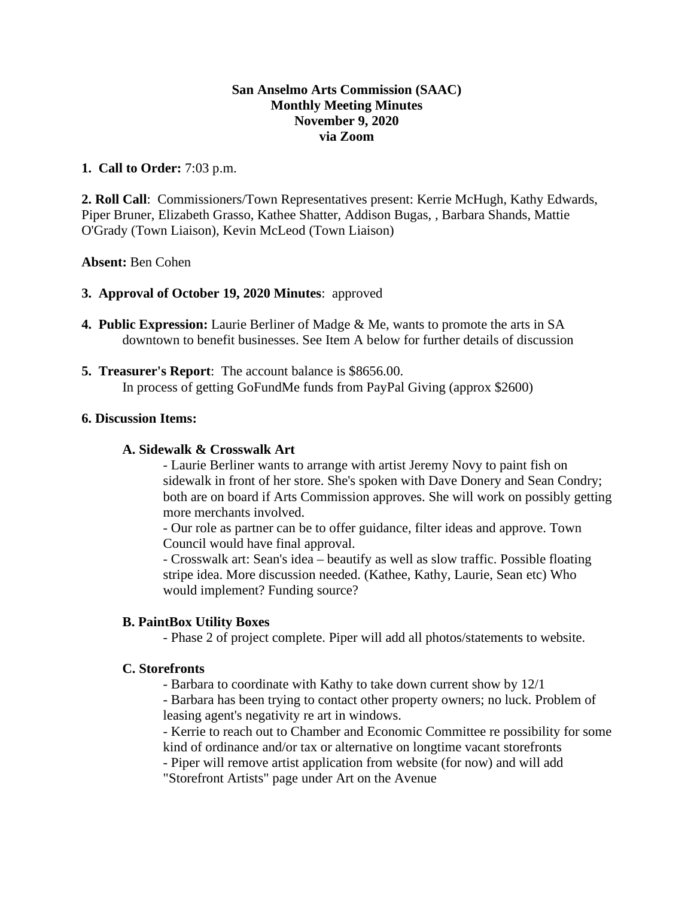# **San Anselmo Arts Commission (SAAC) Monthly Meeting Minutes November 9, 2020 via Zoom**

# **1. Call to Order:** 7:03 p.m.

**2. Roll Call**: Commissioners/Town Representatives present: Kerrie McHugh, Kathy Edwards, Piper Bruner, Elizabeth Grasso, Kathee Shatter, Addison Bugas, , Barbara Shands, Mattie O'Grady (Town Liaison), Kevin McLeod (Town Liaison)

### **Absent:** Ben Cohen

# **3. Approval of October 19, 2020 Minutes**: approved

- **4. Public Expression:** Laurie Berliner of Madge & Me, wants to promote the arts in SA downtown to benefit businesses. See Item A below for further details of discussion
- **5. Treasurer's Report**: The account balance is \$8656.00. In process of getting GoFundMe funds from PayPal Giving (approx \$2600)

### **6. Discussion Items:**

#### **A. Sidewalk & Crosswalk Art**

- Laurie Berliner wants to arrange with artist Jeremy Novy to paint fish on sidewalk in front of her store. She's spoken with Dave Donery and Sean Condry; both are on board if Arts Commission approves. She will work on possibly getting more merchants involved.

- Our role as partner can be to offer guidance, filter ideas and approve. Town Council would have final approval.

- Crosswalk art: Sean's idea – beautify as well as slow traffic. Possible floating stripe idea. More discussion needed. (Kathee, Kathy, Laurie, Sean etc) Who would implement? Funding source?

### **B. PaintBox Utility Boxes**

- Phase 2 of project complete. Piper will add all photos/statements to website.

### **C. Storefronts**

- Barbara to coordinate with Kathy to take down current show by 12/1

- Barbara has been trying to contact other property owners; no luck. Problem of leasing agent's negativity re art in windows.

- Kerrie to reach out to Chamber and Economic Committee re possibility for some kind of ordinance and/or tax or alternative on longtime vacant storefronts

- Piper will remove artist application from website (for now) and will add "Storefront Artists" page under Art on the Avenue